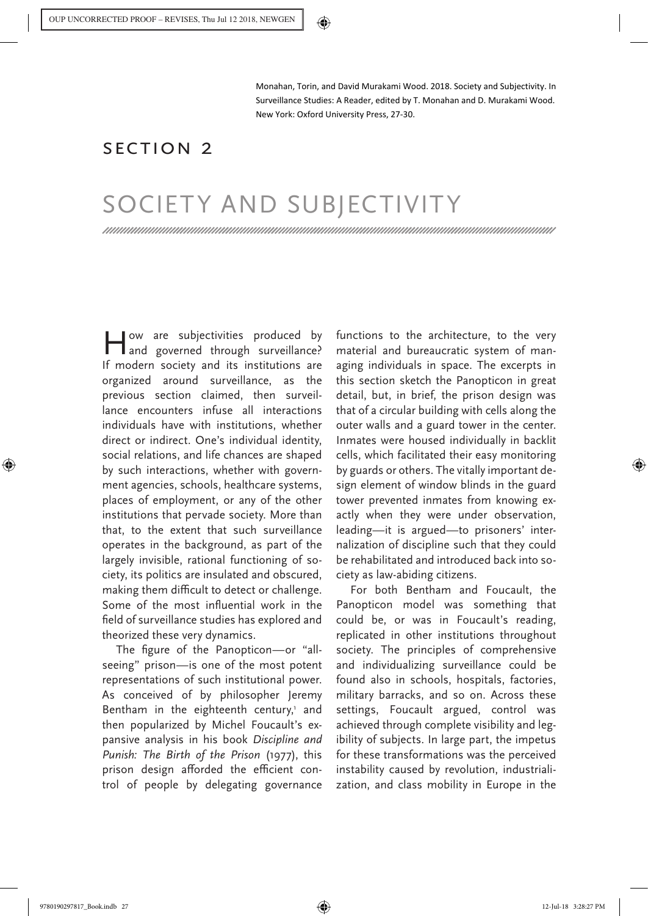Monahan, Torin, and David Murakami Wood. 2018. Society and Subjectivity. In Surveillance Studies: A Reader, edited by T. Monahan and D. Murakami Wood. New York: Oxford University Press, 27-30.

## Section 2

## SOCIETY AND SUBJECTIVITY

How are subjectivities produced by and governed through surveillance? If modern society and its institutions are organized around surveillance, as the previous section claimed, then surveillance encounters infuse all interactions individuals have with institutions, whether direct or indirect. One's individual identity, social relations, and life chances are shaped by such interactions, whether with government agencies, schools, healthcare systems, places of employment, or any of the other institutions that pervade society. More than that, to the extent that such surveillance operates in the background, as part of the largely invisible, rational functioning of society, its politics are insulated and obscured, making them difficult to detect or challenge. Some of the most influential work in the field of surveillance studies has explored and theorized these very dynamics.

The figure of the Panopticon—or "allseeing" prison—is one of the most potent representations of such institutional power. As conceived of by philosopher Jeremy Bentham in the eighteenth century,<sup>1</sup> and then popularized by Michel Foucault's expansive analysis in his book *Discipline and Punish: The Birth of the Prison* (1977), this prison design afforded the efficient control of people by delegating governance

functions to the architecture, to the very material and bureaucratic system of managing individuals in space. The excerpts in this section sketch the Panopticon in great detail, but, in brief, the prison design was that of a circular building with cells along the outer walls and a guard tower in the center. Inmates were housed individually in backlit cells, which facilitated their easy monitoring by guards or others. The vitally important design element of window blinds in the guard tower prevented inmates from knowing exactly when they were under observation, leading—it is argued—to prisoners' internalization of discipline such that they could be rehabilitated and introduced back into society as law-abiding citizens.

For both Bentham and Foucault, the Panopticon model was something that could be, or was in Foucault's reading, replicated in other institutions throughout society. The principles of comprehensive and individualizing surveillance could be found also in schools, hospitals, factories, military barracks, and so on. Across these settings, Foucault argued, control was achieved through complete visibility and legibility of subjects. In large part, the impetus for these transformations was the perceived instability caused by revolution, industrialization, and class mobility in Europe in the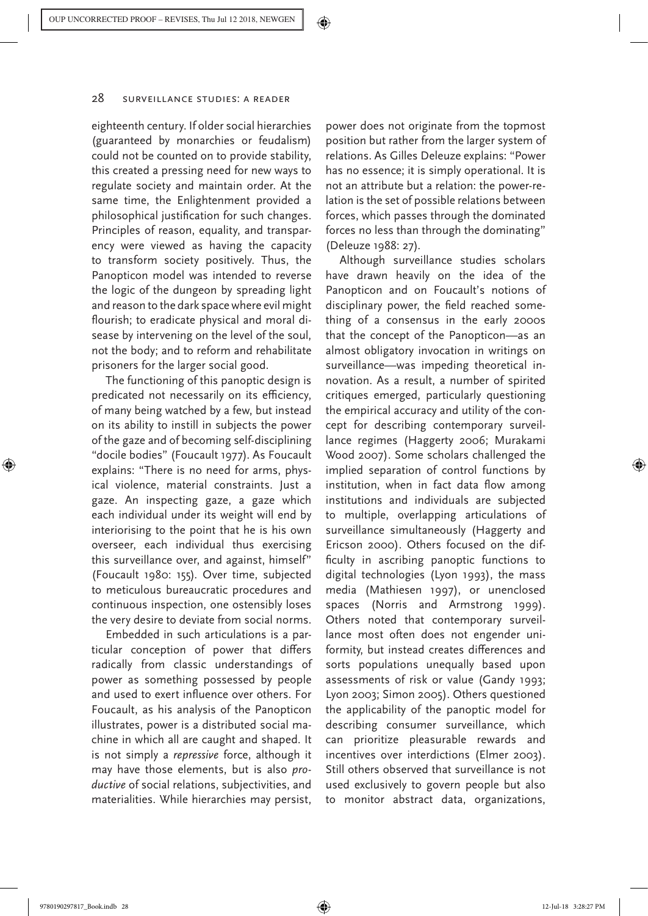eighteenth century. If older social hierarchies (guaranteed by monarchies or feudalism) could not be counted on to provide stability, this created a pressing need for new ways to regulate society and maintain order. At the same time, the Enlightenment provided a philosophical justification for such changes. Principles of reason, equality, and transparency were viewed as having the capacity to transform society positively. Thus, the Panopticon model was intended to reverse the logic of the dungeon by spreading light and reason to the dark space where evil might flourish; to eradicate physical and moral disease by intervening on the level of the soul, not the body; and to reform and rehabilitate prisoners for the larger social good.

The functioning of this panoptic design is predicated not necessarily on its efficiency, of many being watched by a few, but instead on its ability to instill in subjects the power of the gaze and of becoming self-disciplining "docile bodies" (Foucault 1977). As Foucault explains: "There is no need for arms, physical violence, material constraints. Just a gaze. An inspecting gaze, a gaze which each individual under its weight will end by interiorising to the point that he is his own overseer, each individual thus exercising this surveillance over, and against, himself" (Foucault 1980: 155). Over time, subjected to meticulous bureaucratic procedures and continuous inspection, one ostensibly loses the very desire to deviate from social norms.

Embedded in such articulations is a particular conception of power that differs radically from classic understandings of power as something possessed by people and used to exert influence over others. For Foucault, as his analysis of the Panopticon illustrates, power is a distributed social machine in which all are caught and shaped. It is not simply a *repressive* force, although it may have those elements, but is also *productive* of social relations, subjectivities, and materialities. While hierarchies may persist,

power does not originate from the topmost position but rather from the larger system of relations. As Gilles Deleuze explains: "Power has no essence; it is simply operational. It is not an attribute but a relation: the power-relation is the set of possible relations between forces, which passes through the dominated forces no less than through the dominating" (Deleuze 1988: 27).

Although surveillance studies scholars have drawn heavily on the idea of the Panopticon and on Foucault's notions of disciplinary power, the field reached something of a consensus in the early 2000s that the concept of the Panopticon—as an almost obligatory invocation in writings on surveillance—was impeding theoretical innovation. As a result, a number of spirited critiques emerged, particularly questioning the empirical accuracy and utility of the concept for describing contemporary surveillance regimes (Haggerty 2006; Murakami Wood 2007). Some scholars challenged the implied separation of control functions by institution, when in fact data flow among institutions and individuals are subjected to multiple, overlapping articulations of surveillance simultaneously (Haggerty and Ericson 2000). Others focused on the difficulty in ascribing panoptic functions to digital technologies (Lyon 1993), the mass media (Mathiesen 1997), or unenclosed spaces (Norris and Armstrong 1999). Others noted that contemporary surveillance most often does not engender uniformity, but instead creates differences and sorts populations unequally based upon assessments of risk or value (Gandy 1993; Lyon 2003; Simon 2005). Others questioned the applicability of the panoptic model for describing consumer surveillance, which can prioritize pleasurable rewards and incentives over interdictions (Elmer 2003). Still others observed that surveillance is not used exclusively to govern people but also to monitor abstract data, organizations,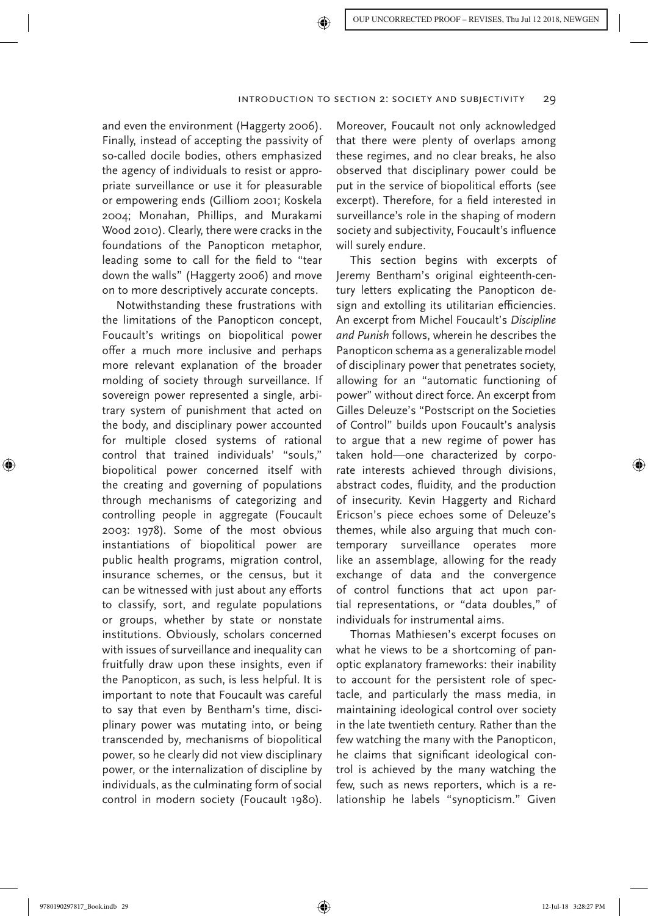and even the environment (Haggerty 2006). Finally, instead of accepting the passivity of so-called docile bodies, others emphasized the agency of individuals to resist or appropriate surveillance or use it for pleasurable or empowering ends (Gilliom 2001; Koskela 2004; Monahan, Phillips, and Murakami Wood 2010). Clearly, there were cracks in the foundations of the Panopticon metaphor, leading some to call for the field to "tear down the walls" (Haggerty 2006) and move on to more descriptively accurate concepts.

Notwithstanding these frustrations with the limitations of the Panopticon concept, Foucault's writings on biopolitical power offer a much more inclusive and perhaps more relevant explanation of the broader molding of society through surveillance. If sovereign power represented a single, arbitrary system of punishment that acted on the body, and disciplinary power accounted for multiple closed systems of rational control that trained individuals' "souls," biopolitical power concerned itself with the creating and governing of populations through mechanisms of categorizing and controlling people in aggregate (Foucault 2003: 1978). Some of the most obvious instantiations of biopolitical power are public health programs, migration control, insurance schemes, or the census, but it can be witnessed with just about any efforts to classify, sort, and regulate populations or groups, whether by state or nonstate institutions. Obviously, scholars concerned with issues of surveillance and inequality can fruitfully draw upon these insights, even if the Panopticon, as such, is less helpful. It is important to note that Foucault was careful to say that even by Bentham's time, disciplinary power was mutating into, or being transcended by, mechanisms of biopolitical power, so he clearly did not view disciplinary power, or the internalization of discipline by individuals, as the culminating form of social control in modern society (Foucault 1980).

Moreover, Foucault not only acknowledged that there were plenty of overlaps among these regimes, and no clear breaks, he also observed that disciplinary power could be put in the service of biopolitical efforts (see excerpt). Therefore, for a field interested in surveillance's role in the shaping of modern society and subjectivity, Foucault's influence will surely endure.

This section begins with excerpts of Jeremy Bentham's original eighteenth-century letters explicating the Panopticon design and extolling its utilitarian efficiencies. An excerpt from Michel Foucault's *Discipline and Punish* follows, wherein he describes the Panopticon schema as a generalizable model of disciplinary power that penetrates society, allowing for an "automatic functioning of power" without direct force. An excerpt from Gilles Deleuze's "Postscript on the Societies of Control" builds upon Foucault's analysis to argue that a new regime of power has taken hold—one characterized by corporate interests achieved through divisions, abstract codes, fluidity, and the production of insecurity. Kevin Haggerty and Richard Ericson's piece echoes some of Deleuze's themes, while also arguing that much contemporary surveillance operates more like an assemblage, allowing for the ready exchange of data and the convergence of control functions that act upon partial representations, or "data doubles," of individuals for instrumental aims.

Thomas Mathiesen's excerpt focuses on what he views to be a shortcoming of panoptic explanatory frameworks: their inability to account for the persistent role of spectacle, and particularly the mass media, in maintaining ideological control over society in the late twentieth century. Rather than the few watching the many with the Panopticon, he claims that significant ideological control is achieved by the many watching the few, such as news reporters, which is a relationship he labels "synopticism." Given